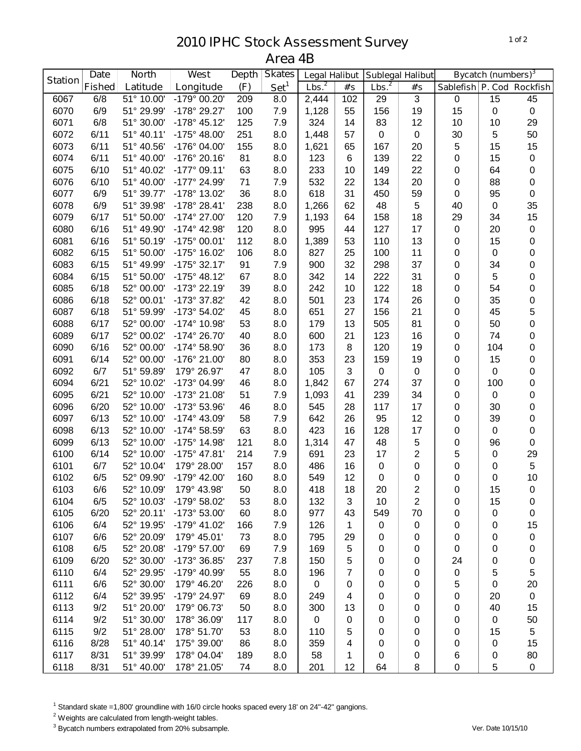## **IPHC Stock Assessment Survey Area 4B**

|                | <b>North</b><br><b>Date</b> |                          | West                        | Depth     |                                   | <b>Legal Halibut</b> |                     | <b>Sublegal Halibut</b> |                         | <b>Bycatch (numbers)</b> <sup>3</sup> |          |                          |
|----------------|-----------------------------|--------------------------|-----------------------------|-----------|-----------------------------------|----------------------|---------------------|-------------------------|-------------------------|---------------------------------------|----------|--------------------------|
| <b>Station</b> | <b>Fished</b>               | Latitude                 | Longitude                   | (F)       | <b>Skates</b><br>Set <sup>1</sup> | Lbs. <sup>2</sup>    | $\#^{\centerdot}$ s | Lbs. <sup>2</sup>       | #'s                     | Sablefish P. Cod Rockfish             |          |                          |
| 6067           | 6/8                         | 51° 10.00'               | -179° 00.20'                | 209       | 8.0                               | 2,444                | 102                 | 29                      | $\mathbf{3}$            | $\pmb{0}$                             | 15       | 45                       |
| 6070           | 6/9                         | 51° 29.99'               | -178° 29.27'                | 100       | 7.9                               | 1,128                | 55                  | 156                     | 19                      | 15                                    | 0        | $\pmb{0}$                |
| 6071           | 6/8                         | 51° 30.00'               | $-178°$ 45.12'              | 125       | 7.9                               | 324                  | 14                  | 83                      | 12                      | 10                                    | 10       | 29                       |
| 6072           | 6/11                        | 51° 40.11'               | $-175^{\circ}$ 48.00'       | 251       | 8.0                               | 1,448                | 57                  | 0                       | 0                       | 30                                    | 5        | 50                       |
| 6073           | 6/11                        | 51° 40.56'               | -176° 04.00'                | 155       | 8.0                               | 1,621                | 65                  | 167                     | 20                      | 5                                     | 15       | 15                       |
| 6074           | 6/11                        | 51° 40.00'               | -176° 20.16'                | 81        | 8.0                               | 123                  | 6                   | 139                     | 22                      | 0                                     | 15       | $\pmb{0}$                |
| 6075           | 6/10                        | 51° 40.02'               | $-177^{\circ}$ 09.11'       | 63        | 8.0                               | 233                  | 10                  | 149                     | 22                      | 0                                     | 64       | $\pmb{0}$                |
| 6076           | 6/10                        | 51° 40.00'               | -177° 24.99'                | 71        | 7.9                               | 532                  | 22                  | 134                     | 20                      | 0                                     | 88       | $\pmb{0}$                |
| 6077           | 6/9                         | 51° 39.77'               | -178° 13.02'                | 36        | 8.0                               | 618                  | 31                  | 450                     | 59                      | 0                                     | 95       | $\pmb{0}$                |
| 6078           | 6/9                         | 51° 39.98'               | $-178°28.41'$               | 238       | 8.0                               | 1,266                | 62                  | 48                      | 5                       | 40                                    | 0        | 35                       |
| 6079           | 6/17                        | 51° 50.00'               | $-174^{\circ}$ 27.00'       | 120       | 7.9                               | 1,193                | 64                  | 158                     | 18                      | 29                                    | 34       | 15                       |
| 6080           | 6/16                        | 51° 49.90'               | -174° 42.98'                | 120       | 8.0                               | 995                  | 44                  | 127                     | 17                      | 0                                     | 20       | $\pmb{0}$                |
| 6081           | 6/16                        | 51° 50.19'               | $-175^{\circ}$ 00.01'       | 112       | 8.0                               | 1,389                | 53                  | 110                     | 13                      | 0                                     | 15       | $\pmb{0}$                |
| 6082           | 6/15                        | 51° 50.00'               | -175° 16.02'                | 106       | 8.0                               | 827                  | 25                  | 100                     | 11                      | 0                                     | 0        | $\pmb{0}$                |
| 6083           | 6/15                        | 51° 49.99'               | $-175°32.17'$               | 91        | 7.9                               | 900                  | 32                  | 298                     | 37                      | 0                                     | 34       | $\pmb{0}$                |
| 6084           | 6/15                        | 51° 50.00'               | $-175^{\circ}$ 48.12'       | 67        | 8.0                               | 342                  | 14                  | 222                     | 31                      | 0                                     | 5        | $\pmb{0}$                |
| 6085           | 6/18                        | 52° 00.00'               | -173° 22.19'                | 39        | 8.0                               | 242                  | 10                  | 122                     | 18                      | 0                                     | 54       | $\pmb{0}$                |
| 6086           | 6/18                        | 52° 00.01'               | -173° 37.82'                | 42        | 8.0                               | 501                  | 23                  | 174                     | 26                      | 0                                     | 35       | $\pmb{0}$                |
| 6087           | 6/18                        | 51° 59.99'               | -173° 54.02'                | 45        | 8.0                               | 651                  | 27                  | 156                     | 21                      | 0                                     | 45       | 5                        |
| 6088           | 6/17                        | 52° 00.00'               | -174° 10.98'                | 53        | 8.0                               | 179                  | 13                  | 505                     | 81                      | 0                                     | 50       | 0                        |
| 6089           | 6/17                        | 52° 00.02'               | $-174^{\circ} 26.70'$       | 40        | 8.0                               | 600                  | 21                  | 123                     | 16                      | 0                                     | 74       | 0                        |
| 6090           | 6/16                        | 52° 00.00'               | $-174^{\circ} 58.90'$       | 36        | 8.0                               | 173                  | 8                   | 120                     | 19                      | 0                                     | 104      | 0                        |
| 6091           | 6/14                        | 52° 00.00'               | -176° 21.00'                | 80        | 8.0                               | 353                  | 23                  | 159                     | 19                      | 0                                     | 15       | 0                        |
| 6092           | 6/7                         | 51° 59.89'               | 179° 26.97'                 | 47        | 8.0                               | 105                  | $\mathbf{3}$        | 0                       | 0                       | 0                                     | 0        | $\pmb{0}$                |
| 6094           | 6/21                        | 52° 10.02'               | -173° 04.99'                | 46        | 8.0                               | 1,842                | 67                  | 274                     | 37                      | 0                                     | 100      | $\pmb{0}$                |
| 6095           | 6/21                        | 52° 10.00'               | -173° 21.08'                | 51        | 7.9                               | 1,093                | 41                  | 239                     | 34                      | 0                                     | 0        | $\pmb{0}$                |
| 6096           | 6/20                        | 52° 10.00'               | -173° 53.96'                | 46        | 8.0                               | 545                  | 28                  | 117                     | 17                      | 0                                     | 30       | $\pmb{0}$                |
| 6097           | 6/13                        | 52° 10.00'               | $-174^{\circ}$ 43.09'       | 58        | 7.9                               | 642                  | 26                  | 95                      | 12                      | 0                                     | 39       | $\pmb{0}$                |
| 6098           | 6/13                        | 52° 10.00'               | -174° 58.59'                | 63        | 8.0                               | 423                  | 16                  | 128                     | 17                      | 0                                     | 0        | $\pmb{0}$                |
| 6099           | 6/13                        | 52° 10.00'               | -175° 14.98'                | 121       | 8.0                               | 1,314                | 47                  | 48                      | 5                       | 0                                     | 96       | $\pmb{0}$                |
| 6100           | 6/14                        | 52° 10.00'               | -175° 47.81'                | 214       | 7.9                               | 691                  | 23                  | 17                      | 2                       | 5                                     | 0        | 29                       |
| 6101           | 6/7                         | 52° 10.04'               | 179° 28.00'                 | 157       | 8.0                               | 486                  | 16                  | 0                       | 0                       | 0                                     | 0        | $\sqrt{5}$               |
| 6102           | 6/5                         | 52° 09.90'               | -179° 42.00'                | 160       | 8.0                               | 549                  | 12                  | 0                       | 0                       | 0                                     | 0        | 10                       |
| 6103           | 6/6                         | 52° 10.09'               | 179° 43.98'                 | 50        | 8.0                               | 418                  | 18                  | 20                      | $\overline{\mathbf{c}}$ | 0                                     | 15       | $\pmb{0}$                |
| 6104           | 6/5                         | 52° 10.03'               | $-179^{\circ}$ 58.02'       | 53        | 8.0                               | 132                  | 3                   | 10                      | $\overline{c}$          | 0                                     | 15       | $\pmb{0}$                |
| 6105           | 6/20                        | 52° 20.11'               | -173° 53.00'                | 60        | 8.0                               | 977                  | 43                  | 549                     | 70                      | 0                                     | 0        | $\pmb{0}$                |
| 6106           | 6/4                         | 52° 19.95'               | $-179^{\circ}$ 41.02'       | 166       | 7.9                               | 126                  | 1                   | 0                       | 0                       | 0                                     | 0        | 15                       |
| 6107           | 6/6                         | 52° 20.09'               | 179° 45.01'<br>-179° 57.00' | 73        | 8.0                               | 795                  | 29                  | 0                       | 0                       | 0                                     | 0        | $\pmb{0}$                |
| 6108           | 6/5                         | 52° 20.08'               | -173° 36.85'                | 69        | 7.9                               | 169                  | 5                   | 0                       | 0                       | 0                                     | 0        | $\pmb{0}$                |
| 6109<br>6110   | 6/20<br>6/4                 | 52° 30.00'               | -179° 40.99'                | 237       | 7.8                               | 150<br>196           | 5<br>7              | 0                       | 0                       | 24                                    | 0        | $\pmb{0}$<br>$\mathbf 5$ |
| 6111           | 6/6                         | 52° 29.95'<br>52° 30.00' | 179° 46.20'                 | 55<br>226 | 8.0<br>8.0                        | 0                    |                     | 0<br>0                  | 0                       | 0                                     | 5        | 20                       |
| 6112           | 6/4                         | 52° 39.95'               | -179° 24.97'                | 69        |                                   | 249                  | 0                   | 0                       | 0                       | 5                                     | 0        | $\pmb{0}$                |
| 6113           | 9/2                         | 51° 20.00'               | 179° 06.73'                 | 50        | 8.0<br>8.0                        | 300                  | 4<br>13             | 0                       | 0                       | 0                                     | 20<br>40 | 15                       |
| 6114           | 9/2                         | 51° 30.00'               | 178° 36.09'                 | 117       | 8.0                               | 0                    |                     | 0                       | 0                       | 0                                     | 0        |                          |
| 6115           | 9/2                         | 51° 28.00'               | 178° 51.70'                 | 53        | 8.0                               | 110                  | 0<br>5              | 0                       | 0                       | 0                                     | 15       | 50<br>$\,$ 5 $\,$        |
| 6116           | 8/28                        | 51° 40.14'               | 175° 39.00'                 | 86        | 8.0                               | 359                  | 4                   | 0                       | 0<br>0                  | 0<br>0                                | 0        | 15                       |
| 6117           | 8/31                        | 51° 39.99'               | 178° 04.04'                 | 189       | 8.0                               | 58                   | 1                   | 0                       | 0                       | 6                                     | 0        | 80                       |
| 6118           | 8/31                        | 51° 40.00'               | 178° 21.05'                 | 74        | 8.0                               | 201                  | 12                  | 64                      | 8                       | 0                                     | 5        | $\pmb{0}$                |

Standard skate =1,800' groundline with 16/0 circle hooks spaced every 18' on 24"-42" gangions.

<sup>2</sup> Weights are calculated from length-weight tables.

Bycatch numbers extrapolated from 20% subsample. *Ver. Date 10/15/10*